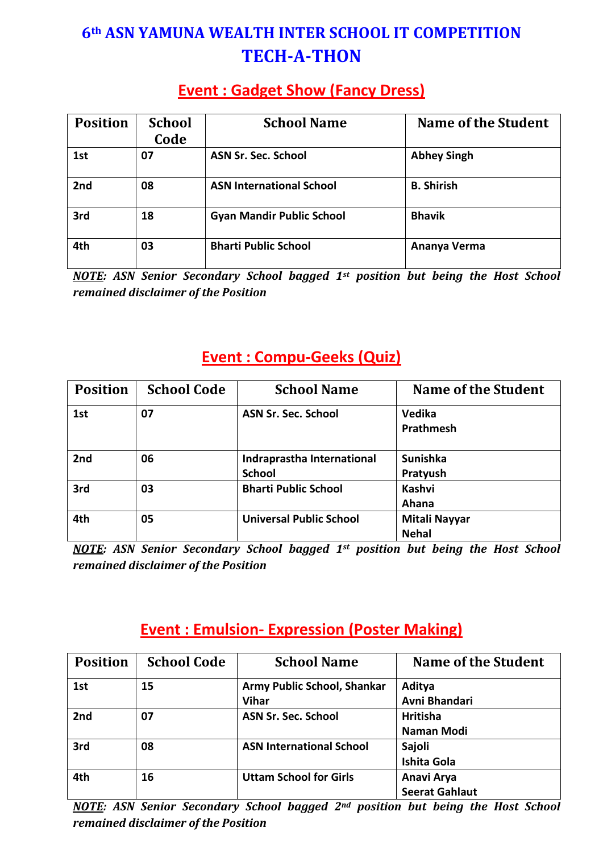# **6th ASN YAMUNA WEALTH INTER SCHOOL IT COMPETITION TECH-A-THON**

### **Event : Gadget Show (Fancy Dress)**

| <b>Position</b> | <b>School</b><br>Code | <b>School Name</b>               | <b>Name of the Student</b> |
|-----------------|-----------------------|----------------------------------|----------------------------|
| 1st             | 07                    | <b>ASN Sr. Sec. School</b>       | <b>Abhey Singh</b>         |
| 2nd             | 08                    | <b>ASN International School</b>  | <b>B.</b> Shirish          |
| 3rd             | 18                    | <b>Gyan Mandir Public School</b> | <b>Bhavik</b>              |
| 4th             | 03                    | <b>Bharti Public School</b>      | Ananya Verma               |

*NOTE: ASN Senior Secondary School bagged 1st position but being the Host School remained disclaimer of the Position*

### **Event : Compu-Geeks (Quiz)**

| <b>Position</b> | <b>School Code</b> | <b>School Name</b>             | Name of the Student           |
|-----------------|--------------------|--------------------------------|-------------------------------|
| 1st             | 07                 | <b>ASN Sr. Sec. School</b>     | Vedika<br><b>Prathmesh</b>    |
|                 |                    |                                |                               |
| 2nd             | 06                 | Indraprastha International     | <b>Sunishka</b>               |
|                 |                    | <b>School</b>                  | Pratyush                      |
| 3rd             | 03                 | <b>Bharti Public School</b>    | <b>Kashvi</b>                 |
|                 |                    |                                | Ahana                         |
| 4th             | 05                 | <b>Universal Public School</b> | Mitali Nayyar<br><b>Nehal</b> |

*NOTE: ASN Senior Secondary School bagged 1st position but being the Host School remained disclaimer of the Position*

### **Event : Emulsion- Expression (Poster Making)**

| <b>Position</b> | <b>School Code</b> | <b>School Name</b>              | <b>Name of the Student</b> |
|-----------------|--------------------|---------------------------------|----------------------------|
| 1st             | 15                 | Army Public School, Shankar     | Aditya                     |
|                 |                    | <b>Vihar</b>                    | Avni Bhandari              |
| 2nd             | 07                 | <b>ASN Sr. Sec. School</b>      | <b>Hritisha</b>            |
|                 |                    |                                 | Naman Modi                 |
| 3rd             | 08                 | <b>ASN International School</b> | Sajoli                     |
|                 |                    |                                 | <b>Ishita Gola</b>         |
| 4th             | 16                 | <b>Uttam School for Girls</b>   | Anavi Arya                 |
|                 |                    |                                 | <b>Seerat Gahlaut</b>      |

*NOTE: ASN Senior Secondary School bagged 2nd position but being the Host School remained disclaimer of the Position*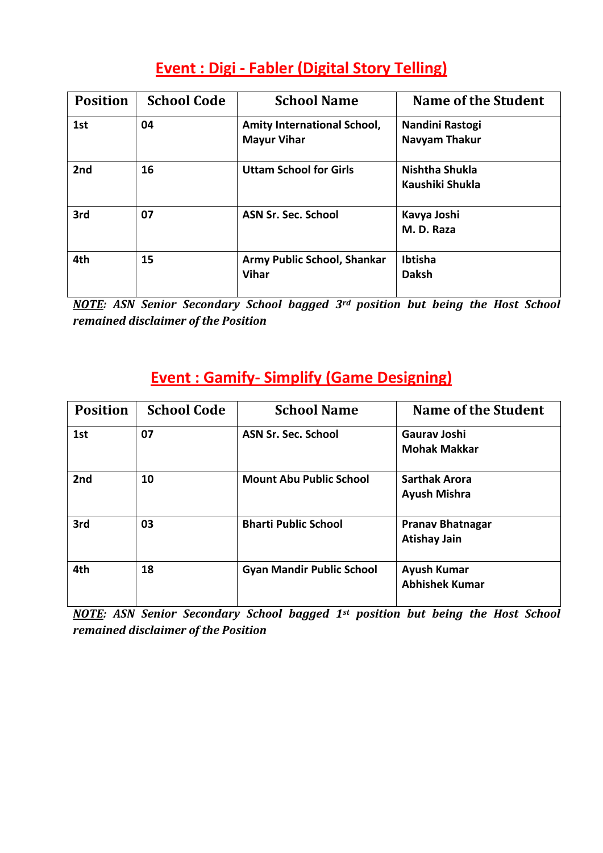## **Event : Digi - Fabler (Digital Story Telling)**

| <b>Position</b> | <b>School Code</b> | <b>School Name</b>                                       | <b>Name of the Student</b>              |
|-----------------|--------------------|----------------------------------------------------------|-----------------------------------------|
| 1st             | 04                 | <b>Amity International School,</b><br><b>Mayur Vihar</b> | Nandini Rastogi<br><b>Navyam Thakur</b> |
| 2nd             | 16                 | <b>Uttam School for Girls</b>                            | Nishtha Shukla<br>Kaushiki Shukla       |
| 3rd             | 07                 | ASN Sr. Sec. School                                      | Kavya Joshi<br>M. D. Raza               |
| 4th             | 15                 | Army Public School, Shankar<br><b>Vihar</b>              | Ibtisha<br><b>Daksh</b>                 |

*NOTE: ASN Senior Secondary School bagged 3rd position but being the Host School remained disclaimer of the Position*

## **Event : Gamify- Simplify (Game Designing)**

| <b>Position</b> | <b>School Code</b> | <b>School Name</b>               | <b>Name of the Student</b>                     |
|-----------------|--------------------|----------------------------------|------------------------------------------------|
| 1st             | 07                 | <b>ASN Sr. Sec. School</b>       | <b>Gaurav Joshi</b><br><b>Mohak Makkar</b>     |
| 2nd             | 10                 | <b>Mount Abu Public School</b>   | <b>Sarthak Arora</b><br><b>Ayush Mishra</b>    |
| 3rd             | 03                 | <b>Bharti Public School</b>      | <b>Pranav Bhatnagar</b><br><b>Atishay Jain</b> |
| 4th             | 18                 | <b>Gyan Mandir Public School</b> | <b>Ayush Kumar</b><br><b>Abhishek Kumar</b>    |

*NOTE: ASN Senior Secondary School bagged 1st position but being the Host School remained disclaimer of the Position*